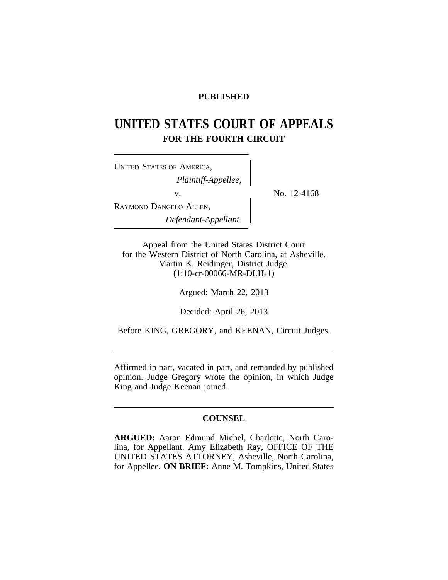# **PUBLISHED**

# **UNITED STATES COURT OF APPEALS FOR THE FOURTH CIRCUIT**

<sup>U</sup>NITED STATES OF AMERICA, *Plaintiff-Appellee,* v.  $\qquad \qquad \sum_{N=1}^{N} N_0$ . 12-4168 RAYMOND DANGELO ALLEN, *Defendant-Appellant.*

Appeal from the United States District Court for the Western District of North Carolina, at Asheville. Martin K. Reidinger, District Judge. (1:10-cr-00066-MR-DLH-1)

Argued: March 22, 2013

Decided: April 26, 2013

Before KING, GREGORY, and KEENAN, Circuit Judges.

Affirmed in part, vacated in part, and remanded by published opinion. Judge Gregory wrote the opinion, in which Judge King and Judge Keenan joined.

# **COUNSEL**

**ARGUED:** Aaron Edmund Michel, Charlotte, North Carolina, for Appellant. Amy Elizabeth Ray, OFFICE OF THE UNITED STATES ATTORNEY, Asheville, North Carolina, for Appellee. **ON BRIEF:** Anne M. Tompkins, United States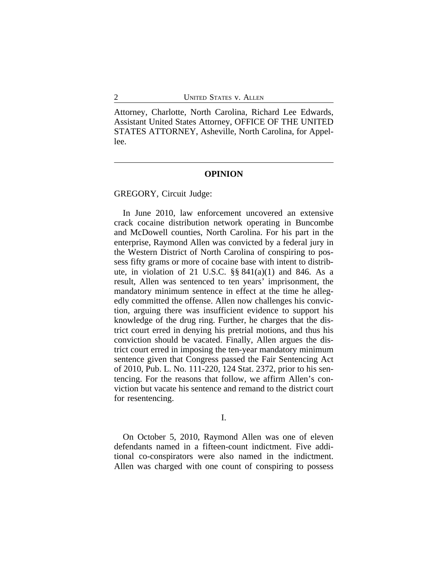Attorney, Charlotte, North Carolina, Richard Lee Edwards, Assistant United States Attorney, OFFICE OF THE UNITED STATES ATTORNEY, Asheville, North Carolina, for Appellee.

#### **OPINION**

GREGORY, Circuit Judge:

In June 2010, law enforcement uncovered an extensive crack cocaine distribution network operating in Buncombe and McDowell counties, North Carolina. For his part in the enterprise, Raymond Allen was convicted by a federal jury in the Western District of North Carolina of conspiring to possess fifty grams or more of cocaine base with intent to distribute, in violation of 21 U.S.C.  $\S$ § 841(a)(1) and 846. As a result, Allen was sentenced to ten years' imprisonment, the mandatory minimum sentence in effect at the time he allegedly committed the offense. Allen now challenges his conviction, arguing there was insufficient evidence to support his knowledge of the drug ring. Further, he charges that the district court erred in denying his pretrial motions, and thus his conviction should be vacated. Finally, Allen argues the district court erred in imposing the ten-year mandatory minimum sentence given that Congress passed the Fair Sentencing Act of 2010, Pub. L. No. 111-220, 124 Stat. 2372, prior to his sentencing. For the reasons that follow, we affirm Allen's conviction but vacate his sentence and remand to the district court for resentencing.

# I.

On October 5, 2010, Raymond Allen was one of eleven defendants named in a fifteen-count indictment. Five additional co-conspirators were also named in the indictment. Allen was charged with one count of conspiring to possess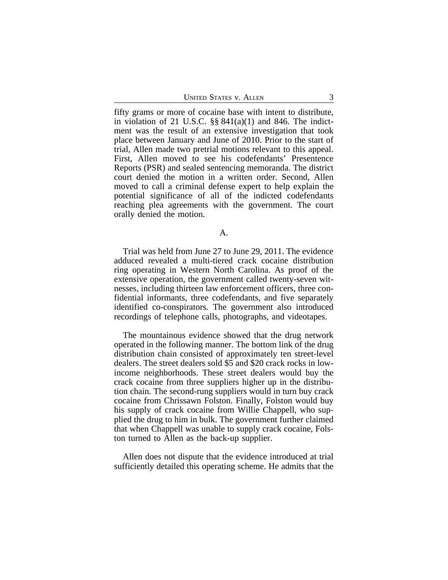UNITED STATES V. ALLEN 3

fifty grams or more of cocaine base with intent to distribute, in violation of 21 U.S.C.  $\S$ §  $841(a)(1)$  and  $846$ . The indictment was the result of an extensive investigation that took place between January and June of 2010. Prior to the start of trial, Allen made two pretrial motions relevant to this appeal. First, Allen moved to see his codefendants' Presentence Reports (PSR) and sealed sentencing memoranda. The district court denied the motion in a written order. Second, Allen moved to call a criminal defense expert to help explain the potential significance of all of the indicted codefendants reaching plea agreements with the government. The court orally denied the motion.

#### A.

Trial was held from June 27 to June 29, 2011. The evidence adduced revealed a multi-tiered crack cocaine distribution ring operating in Western North Carolina. As proof of the extensive operation, the government called twenty-seven witnesses, including thirteen law enforcement officers, three confidential informants, three codefendants, and five separately identified co-conspirators. The government also introduced recordings of telephone calls, photographs, and videotapes.

The mountainous evidence showed that the drug network operated in the following manner. The bottom link of the drug distribution chain consisted of approximately ten street-level dealers. The street dealers sold \$5 and \$20 crack rocks in lowincome neighborhoods. These street dealers would buy the crack cocaine from three suppliers higher up in the distribution chain. The second-rung suppliers would in turn buy crack cocaine from Chrissawn Folston. Finally, Folston would buy his supply of crack cocaine from Willie Chappell, who supplied the drug to him in bulk. The government further claimed that when Chappell was unable to supply crack cocaine, Folston turned to Allen as the back-up supplier.

Allen does not dispute that the evidence introduced at trial sufficiently detailed this operating scheme. He admits that the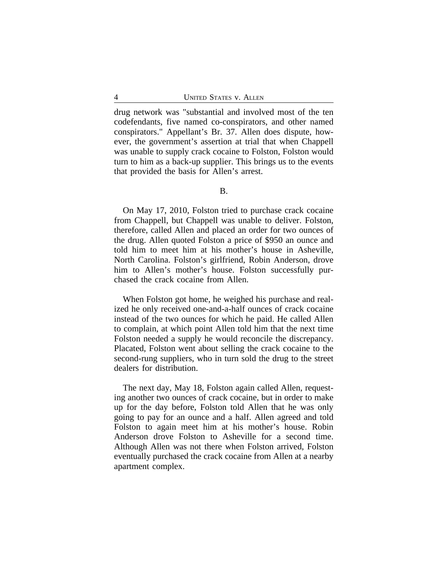drug network was "substantial and involved most of the ten codefendants, five named co-conspirators, and other named conspirators." Appellant's Br. 37. Allen does dispute, however, the government's assertion at trial that when Chappell was unable to supply crack cocaine to Folston, Folston would turn to him as a back-up supplier. This brings us to the events that provided the basis for Allen's arrest.

On May 17, 2010, Folston tried to purchase crack cocaine from Chappell, but Chappell was unable to deliver. Folston, therefore, called Allen and placed an order for two ounces of the drug. Allen quoted Folston a price of \$950 an ounce and told him to meet him at his mother's house in Asheville, North Carolina. Folston's girlfriend, Robin Anderson, drove him to Allen's mother's house. Folston successfully purchased the crack cocaine from Allen.

When Folston got home, he weighed his purchase and realized he only received one-and-a-half ounces of crack cocaine instead of the two ounces for which he paid. He called Allen to complain, at which point Allen told him that the next time Folston needed a supply he would reconcile the discrepancy. Placated, Folston went about selling the crack cocaine to the second-rung suppliers, who in turn sold the drug to the street dealers for distribution.

The next day, May 18, Folston again called Allen, requesting another two ounces of crack cocaine, but in order to make up for the day before, Folston told Allen that he was only going to pay for an ounce and a half. Allen agreed and told Folston to again meet him at his mother's house. Robin Anderson drove Folston to Asheville for a second time. Although Allen was not there when Folston arrived, Folston eventually purchased the crack cocaine from Allen at a nearby apartment complex.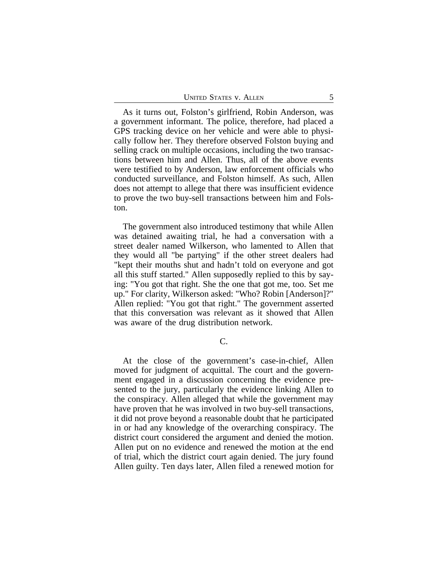As it turns out, Folston's girlfriend, Robin Anderson, was a government informant. The police, therefore, had placed a GPS tracking device on her vehicle and were able to physically follow her. They therefore observed Folston buying and selling crack on multiple occasions, including the two transactions between him and Allen. Thus, all of the above events were testified to by Anderson, law enforcement officials who conducted surveillance, and Folston himself. As such, Allen does not attempt to allege that there was insufficient evidence to prove the two buy-sell transactions between him and Folston.

The government also introduced testimony that while Allen was detained awaiting trial, he had a conversation with a street dealer named Wilkerson, who lamented to Allen that they would all "be partying" if the other street dealers had "kept their mouths shut and hadn't told on everyone and got all this stuff started." Allen supposedly replied to this by saying: "You got that right. She the one that got me, too. Set me up." For clarity, Wilkerson asked: "Who? Robin [Anderson]?" Allen replied: "You got that right." The government asserted that this conversation was relevant as it showed that Allen was aware of the drug distribution network.

At the close of the government's case-in-chief, Allen moved for judgment of acquittal. The court and the government engaged in a discussion concerning the evidence presented to the jury, particularly the evidence linking Allen to the conspiracy. Allen alleged that while the government may have proven that he was involved in two buy-sell transactions, it did not prove beyond a reasonable doubt that he participated in or had any knowledge of the overarching conspiracy. The district court considered the argument and denied the motion. Allen put on no evidence and renewed the motion at the end of trial, which the district court again denied. The jury found Allen guilty. Ten days later, Allen filed a renewed motion for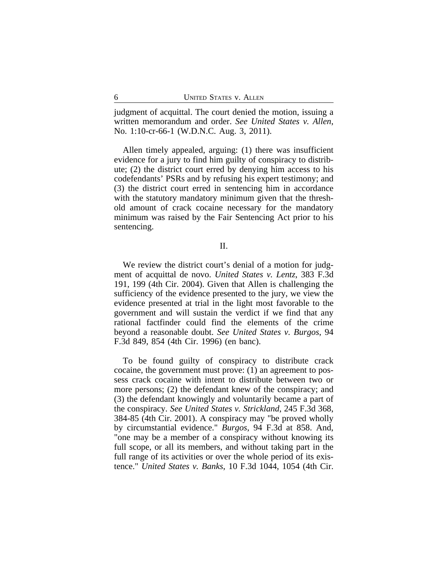judgment of acquittal. The court denied the motion, issuing a written memorandum and order. *See United States v. Allen*, No. 1:10-cr-66-1 (W.D.N.C. Aug. 3, 2011).

Allen timely appealed, arguing: (1) there was insufficient evidence for a jury to find him guilty of conspiracy to distribute; (2) the district court erred by denying him access to his codefendants' PSRs and by refusing his expert testimony; and (3) the district court erred in sentencing him in accordance with the statutory mandatory minimum given that the threshold amount of crack cocaine necessary for the mandatory minimum was raised by the Fair Sentencing Act prior to his sentencing.

II.

We review the district court's denial of a motion for judgment of acquittal de novo. *United States v. Lentz*, 383 F.3d 191, 199 (4th Cir. 2004). Given that Allen is challenging the sufficiency of the evidence presented to the jury, we view the evidence presented at trial in the light most favorable to the government and will sustain the verdict if we find that any rational factfinder could find the elements of the crime beyond a reasonable doubt. *See United States v. Burgos*, 94 F.3d 849, 854 (4th Cir. 1996) (en banc).

To be found guilty of conspiracy to distribute crack cocaine, the government must prove: (1) an agreement to possess crack cocaine with intent to distribute between two or more persons; (2) the defendant knew of the conspiracy; and (3) the defendant knowingly and voluntarily became a part of the conspiracy. *See United States v. Strickland*, 245 F.3d 368, 384-85 (4th Cir. 2001). A conspiracy may "be proved wholly by circumstantial evidence." *Burgos*, 94 F.3d at 858. And, "one may be a member of a conspiracy without knowing its full scope, or all its members, and without taking part in the full range of its activities or over the whole period of its existence." *United States v. Banks*, 10 F.3d 1044, 1054 (4th Cir.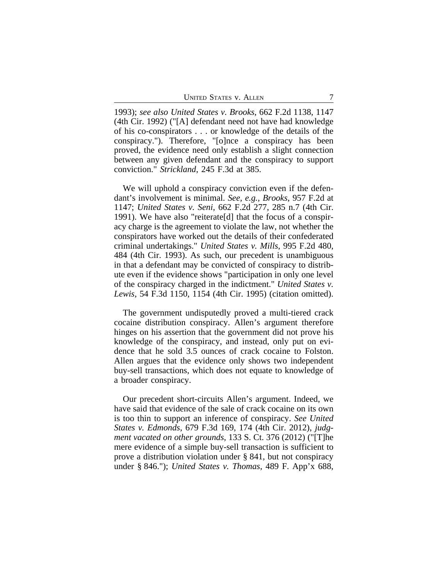1993); *see also United States v. Brooks*, 662 F.2d 1138, 1147 (4th Cir. 1992) ("[A] defendant need not have had knowledge of his co-conspirators . . . or knowledge of the details of the conspiracy."). Therefore, "[o]nce a conspiracy has been proved, the evidence need only establish a slight connection between any given defendant and the conspiracy to support conviction." *Strickland*, 245 F.3d at 385.

We will uphold a conspiracy conviction even if the defendant's involvement is minimal. *See, e.g.*, *Brooks*, 957 F.2d at 1147; *United States v. Seni*, 662 F.2d 277, 285 n.7 (4th Cir. 1991). We have also "reiterate[d] that the focus of a conspiracy charge is the agreement to violate the law, not whether the conspirators have worked out the details of their confederated criminal undertakings." *United States v. Mills*, 995 F.2d 480, 484 (4th Cir. 1993). As such, our precedent is unambiguous in that a defendant may be convicted of conspiracy to distribute even if the evidence shows "participation in only one level of the conspiracy charged in the indictment." *United States v. Lewis*, 54 F.3d 1150, 1154 (4th Cir. 1995) (citation omitted).

The government undisputedly proved a multi-tiered crack cocaine distribution conspiracy. Allen's argument therefore hinges on his assertion that the government did not prove his knowledge of the conspiracy, and instead, only put on evidence that he sold 3.5 ounces of crack cocaine to Folston. Allen argues that the evidence only shows two independent buy-sell transactions, which does not equate to knowledge of a broader conspiracy.

Our precedent short-circuits Allen's argument. Indeed, we have said that evidence of the sale of crack cocaine on its own is too thin to support an inference of conspiracy. *See United States v. Edmonds*, 679 F.3d 169, 174 (4th Cir. 2012), *judgment vacated on other grounds*, 133 S. Ct. 376 (2012) ("[T]he mere evidence of a simple buy-sell transaction is sufficient to prove a distribution violation under § 841, but not conspiracy under § 846."); *United States v. Thomas*, 489 F. App'x 688,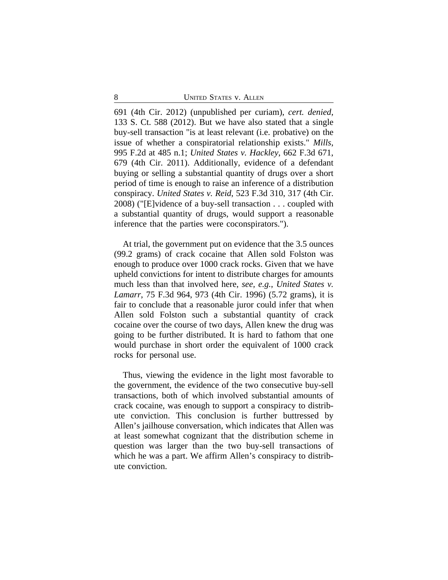691 (4th Cir. 2012) (unpublished per curiam), *cert. denied*, 133 S. Ct. 588 (2012). But we have also stated that a single buy-sell transaction "is at least relevant (i.e. probative) on the issue of whether a conspiratorial relationship exists." *Mills*, 995 F.2d at 485 n.1; *United States v. Hackley*, 662 F.3d 671, 679 (4th Cir. 2011). Additionally, evidence of a defendant buying or selling a substantial quantity of drugs over a short period of time is enough to raise an inference of a distribution conspiracy. *United States v. Reid*, 523 F.3d 310, 317 (4th Cir. 2008) ("[E]vidence of a buy-sell transaction . . . coupled with a substantial quantity of drugs, would support a reasonable inference that the parties were coconspirators.").

At trial, the government put on evidence that the 3.5 ounces (99.2 grams) of crack cocaine that Allen sold Folston was enough to produce over 1000 crack rocks. Given that we have upheld convictions for intent to distribute charges for amounts much less than that involved here, *see, e.g.*, *United States v. Lamarr*, 75 F.3d 964, 973 (4th Cir. 1996) (5.72 grams), it is fair to conclude that a reasonable juror could infer that when Allen sold Folston such a substantial quantity of crack cocaine over the course of two days, Allen knew the drug was going to be further distributed. It is hard to fathom that one would purchase in short order the equivalent of 1000 crack rocks for personal use.

Thus, viewing the evidence in the light most favorable to the government, the evidence of the two consecutive buy-sell transactions, both of which involved substantial amounts of crack cocaine, was enough to support a conspiracy to distribute conviction. This conclusion is further buttressed by Allen's jailhouse conversation, which indicates that Allen was at least somewhat cognizant that the distribution scheme in question was larger than the two buy-sell transactions of which he was a part. We affirm Allen's conspiracy to distribute conviction.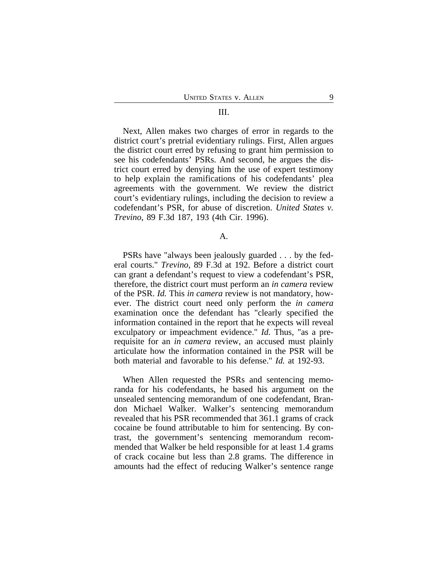#### III.

Next, Allen makes two charges of error in regards to the district court's pretrial evidentiary rulings. First, Allen argues the district court erred by refusing to grant him permission to see his codefendants' PSRs. And second, he argues the district court erred by denying him the use of expert testimony to help explain the ramifications of his codefendants' plea agreements with the government. We review the district court's evidentiary rulings, including the decision to review a codefendant's PSR, for abuse of discretion. *United States v. Trevino*, 89 F.3d 187, 193 (4th Cir. 1996).

## A.

PSRs have "always been jealously guarded . . . by the federal courts." *Trevino*, 89 F.3d at 192. Before a district court can grant a defendant's request to view a codefendant's PSR, therefore, the district court must perform an *in camera* review of the PSR. *Id.* This *in camera* review is not mandatory, however. The district court need only perform the *in camera* examination once the defendant has "clearly specified the information contained in the report that he expects will reveal exculpatory or impeachment evidence." *Id.* Thus, "as a prerequisite for an *in camera* review, an accused must plainly articulate how the information contained in the PSR will be both material and favorable to his defense." *Id.* at 192-93.

When Allen requested the PSRs and sentencing memoranda for his codefendants, he based his argument on the unsealed sentencing memorandum of one codefendant, Brandon Michael Walker. Walker's sentencing memorandum revealed that his PSR recommended that 361.1 grams of crack cocaine be found attributable to him for sentencing. By contrast, the government's sentencing memorandum recommended that Walker be held responsible for at least 1.4 grams of crack cocaine but less than 2.8 grams. The difference in amounts had the effect of reducing Walker's sentence range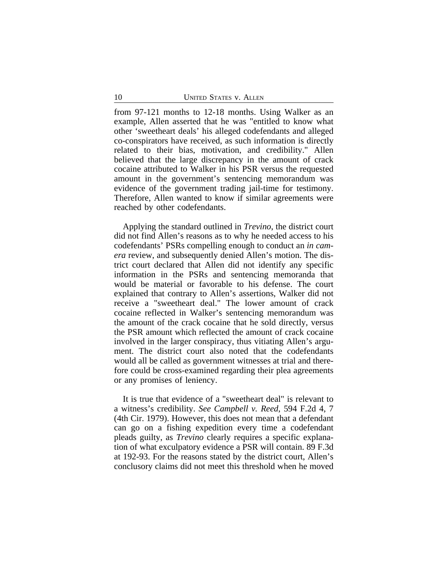from 97-121 months to 12-18 months. Using Walker as an example, Allen asserted that he was "entitled to know what other 'sweetheart deals' his alleged codefendants and alleged co-conspirators have received, as such information is directly related to their bias, motivation, and credibility." Allen believed that the large discrepancy in the amount of crack cocaine attributed to Walker in his PSR versus the requested amount in the government's sentencing memorandum was evidence of the government trading jail-time for testimony. Therefore, Allen wanted to know if similar agreements were reached by other codefendants.

Applying the standard outlined in *Trevino*, the district court did not find Allen's reasons as to why he needed access to his codefendants' PSRs compelling enough to conduct an *in camera* review, and subsequently denied Allen's motion. The district court declared that Allen did not identify any specific information in the PSRs and sentencing memoranda that would be material or favorable to his defense. The court explained that contrary to Allen's assertions, Walker did not receive a "sweetheart deal." The lower amount of crack cocaine reflected in Walker's sentencing memorandum was the amount of the crack cocaine that he sold directly, versus the PSR amount which reflected the amount of crack cocaine involved in the larger conspiracy, thus vitiating Allen's argument. The district court also noted that the codefendants would all be called as government witnesses at trial and therefore could be cross-examined regarding their plea agreements or any promises of leniency.

It is true that evidence of a "sweetheart deal" is relevant to a witness's credibility. *See Campbell v. Reed*, 594 F.2d 4, 7 (4th Cir. 1979). However, this does not mean that a defendant can go on a fishing expedition every time a codefendant pleads guilty, as *Trevino* clearly requires a specific explanation of what exculpatory evidence a PSR will contain. 89 F.3d at 192-93. For the reasons stated by the district court, Allen's conclusory claims did not meet this threshold when he moved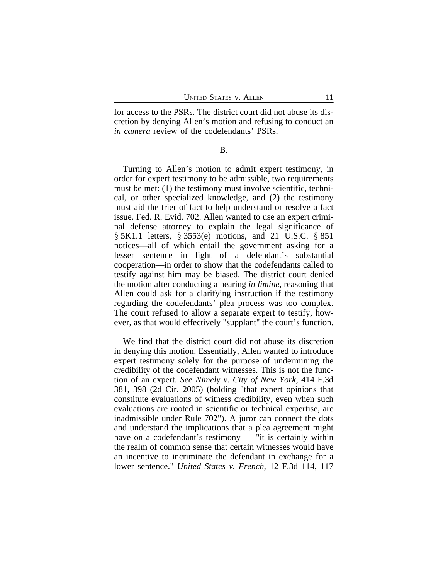for access to the PSRs. The district court did not abuse its discretion by denying Allen's motion and refusing to conduct an *in camera* review of the codefendants' PSRs.

## B.

Turning to Allen's motion to admit expert testimony, in order for expert testimony to be admissible, two requirements must be met: (1) the testimony must involve scientific, technical, or other specialized knowledge, and (2) the testimony must aid the trier of fact to help understand or resolve a fact issue. Fed. R. Evid. 702. Allen wanted to use an expert criminal defense attorney to explain the legal significance of § 5K1.1 letters, § 3553(e) motions, and 21 U.S.C. § 851 notices—all of which entail the government asking for a lesser sentence in light of a defendant's substantial cooperation—in order to show that the codefendants called to testify against him may be biased. The district court denied the motion after conducting a hearing *in limine*, reasoning that Allen could ask for a clarifying instruction if the testimony regarding the codefendants' plea process was too complex. The court refused to allow a separate expert to testify, however, as that would effectively "supplant" the court's function.

We find that the district court did not abuse its discretion in denying this motion. Essentially, Allen wanted to introduce expert testimony solely for the purpose of undermining the credibility of the codefendant witnesses. This is not the function of an expert. *See Nimely v. City of New York*, 414 F.3d 381, 398 (2d Cir. 2005) (holding "that expert opinions that constitute evaluations of witness credibility, even when such evaluations are rooted in scientific or technical expertise, are inadmissible under Rule 702"). A juror can connect the dots and understand the implications that a plea agreement might have on a codefendant's testimony — "it is certainly within the realm of common sense that certain witnesses would have an incentive to incriminate the defendant in exchange for a lower sentence." *United States v. French*, 12 F.3d 114, 117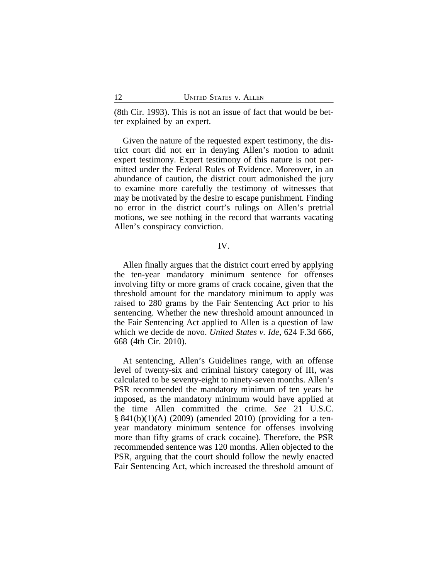(8th Cir. 1993). This is not an issue of fact that would be better explained by an expert.

Given the nature of the requested expert testimony, the district court did not err in denying Allen's motion to admit expert testimony. Expert testimony of this nature is not permitted under the Federal Rules of Evidence. Moreover, in an abundance of caution, the district court admonished the jury to examine more carefully the testimony of witnesses that may be motivated by the desire to escape punishment. Finding no error in the district court's rulings on Allen's pretrial motions, we see nothing in the record that warrants vacating Allen's conspiracy conviction.

## IV.

Allen finally argues that the district court erred by applying the ten-year mandatory minimum sentence for offenses involving fifty or more grams of crack cocaine, given that the threshold amount for the mandatory minimum to apply was raised to 280 grams by the Fair Sentencing Act prior to his sentencing. Whether the new threshold amount announced in the Fair Sentencing Act applied to Allen is a question of law which we decide de novo. *United States v. Ide*, 624 F.3d 666, 668 (4th Cir. 2010).

At sentencing, Allen's Guidelines range, with an offense level of twenty-six and criminal history category of III, was calculated to be seventy-eight to ninety-seven months. Allen's PSR recommended the mandatory minimum of ten years be imposed, as the mandatory minimum would have applied at the time Allen committed the crime. *See* 21 U.S.C. § 841(b)(1)(A) (2009) (amended 2010) (providing for a tenyear mandatory minimum sentence for offenses involving more than fifty grams of crack cocaine). Therefore, the PSR recommended sentence was 120 months. Allen objected to the PSR, arguing that the court should follow the newly enacted Fair Sentencing Act, which increased the threshold amount of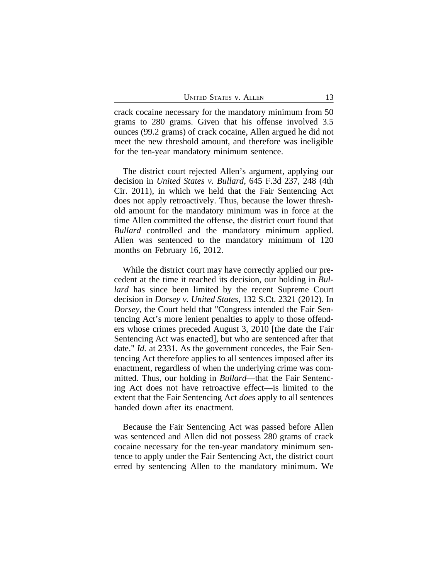crack cocaine necessary for the mandatory minimum from 50 grams to 280 grams. Given that his offense involved 3.5 ounces (99.2 grams) of crack cocaine, Allen argued he did not meet the new threshold amount, and therefore was ineligible for the ten-year mandatory minimum sentence.

The district court rejected Allen's argument, applying our decision in *United States v. Bullard*, 645 F.3d 237, 248 (4th Cir. 2011), in which we held that the Fair Sentencing Act does not apply retroactively. Thus, because the lower threshold amount for the mandatory minimum was in force at the time Allen committed the offense, the district court found that *Bullard* controlled and the mandatory minimum applied. Allen was sentenced to the mandatory minimum of 120 months on February 16, 2012.

While the district court may have correctly applied our precedent at the time it reached its decision, our holding in *Bullard* has since been limited by the recent Supreme Court decision in *Dorsey v. United States*, 132 S.Ct. 2321 (2012). In *Dorsey*, the Court held that "Congress intended the Fair Sentencing Act's more lenient penalties to apply to those offenders whose crimes preceded August 3, 2010 [the date the Fair Sentencing Act was enacted], but who are sentenced after that date." *Id.* at 2331. As the government concedes, the Fair Sentencing Act therefore applies to all sentences imposed after its enactment, regardless of when the underlying crime was committed. Thus, our holding in *Bullard*—that the Fair Sentencing Act does not have retroactive effect—is limited to the extent that the Fair Sentencing Act *does* apply to all sentences handed down after its enactment.

Because the Fair Sentencing Act was passed before Allen was sentenced and Allen did not possess 280 grams of crack cocaine necessary for the ten-year mandatory minimum sentence to apply under the Fair Sentencing Act, the district court erred by sentencing Allen to the mandatory minimum. We